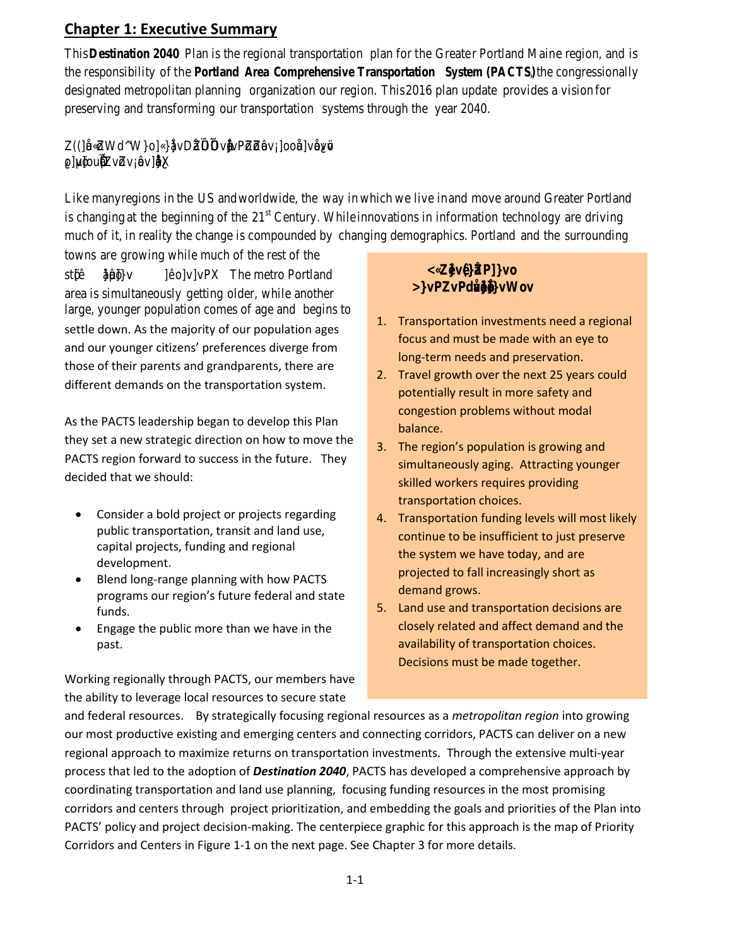## **Chapter 1: Executive Summary**

This *Destination 2040* Plan is the region al transportation pla n for the Grea te r Portland Main e region, and is the responsibility o f the *Portland A rea Comprehensive Transportation System (PACTS)* , the congressionally designated metropolitan planning organization our region. This 2016 plan update provides a vision for preserving and transforming our transportation systems through the year 2040.

 $Z$   $($  |  $E$  u ((]CEu ÇšZW d^W}o]Ç}CE}vDCEZïìUîìîíUv•µCE]vPšZš šZ ‰ovÁ]ooCEu A ol uvšlo o] µvš]ou Œ îìîî ÁZvšZvÁ‰ov]• ‰‰Œ}ÀX

Like many regions in the US and worldwide, the way in which we live in and move around Greater Portland is changing at the beginning of the  $21^{st}$  Century. While innovations in information technology are driving much of it, in reality the change is compounded by changing demographics. Portland and the surrounding towns are growing while much of the rest of the

settle down. As the majority of our population ages and our younger citizens' preferences diverge from those of their parents and grandparents, there are different demands on the transportation system. st š [‰}‰µo }}}v o]v]vTPeXmetro Portland area is simultaneously getting older, while another large, younger population comes of age and begins to

As the PACTS leadership began to develop this Plan they set a new strategic direction on how to move the PACTS region forward to success in the future. They decided that we should:

- Consider a bold project or projects regarding public transportation, transit and land use, capital projects, funding and regional development.
- Blend long-range planning with how PACTS programs our region's future federal and state funds.
- Engage the public more than we have in the past.

Working regionally through PACTS, our members have the ability to leverage local resources to secure state

#### .<br>C  $\bigcirc \hspace{-0.2cm} \bigcirc \hspace{-0.2cm} \bigcirc \hspace{-0.2cm} \mathbb{R}$ )≫Pz7PdQ∭‱aMov

- 1. Transportation investments need a regional focus and must be made with an eye to long-term needs and preservation.
- 2. Travel growth over the next 25 years could potentially result in more safety and congestion problems without modal balance.
- 3. The region's population is growing and simultaneously aging. Attracting younger skilled workers requires providing transportation choices.
- 4. Transportation funding levels will most likely continue to be insufficient to just preserve the system we have today, and are projected to fall increasingly short as demand grows.
- 5. Land use and transportation decisions are closely related and affect demand and the availability of transportation choices. Decisions must be made together.

and federal resources. By strategically focusing regional resources as a *metropolitan region* into growing our most productive existing and emerging centers and connecting corridors, PACTS can deliver on a new regional approach to maximize returns on transportation investments. Through the extensive multi-year process that led to the adoption of *Destination 2040*, PACTS has developed a comprehensive approach by coordinating transportation and land use planning, focusing funding resources in the most promising corridors and centers through project prioritization, and embedding the goals and priorities of the Plan into PACTS' policy and project decision-making. The centerpiece graphic for this approach is the map of Priority Corridors and Centers in Figure 1-1 on the next page. See Chapter 3 for more details.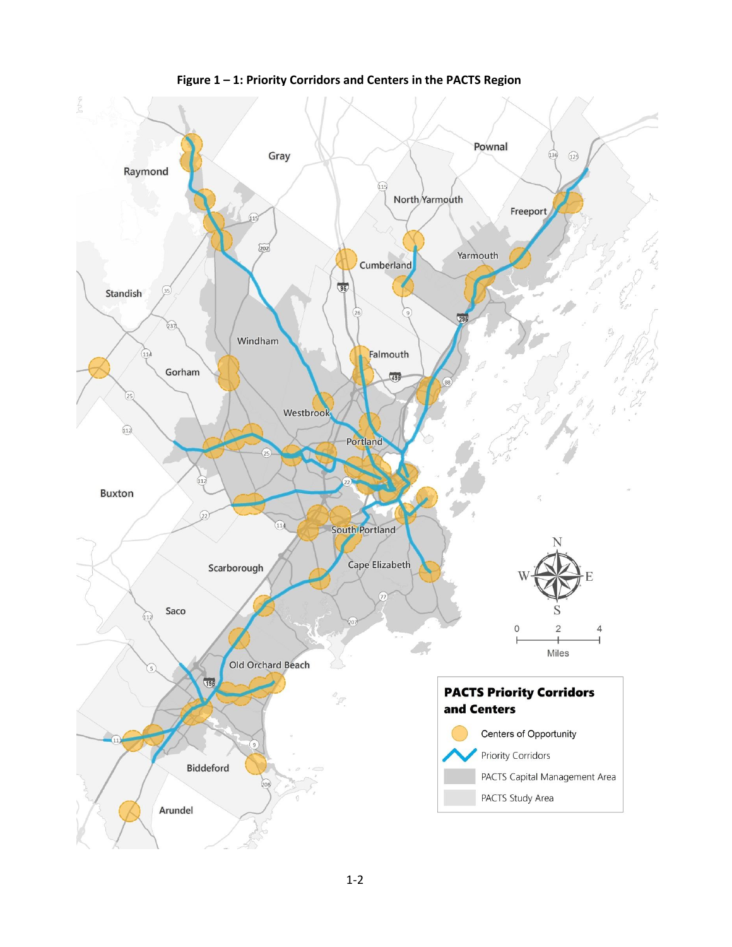

**Figure 1 – 1: Priority Corridors and Centers in the PACTS Region**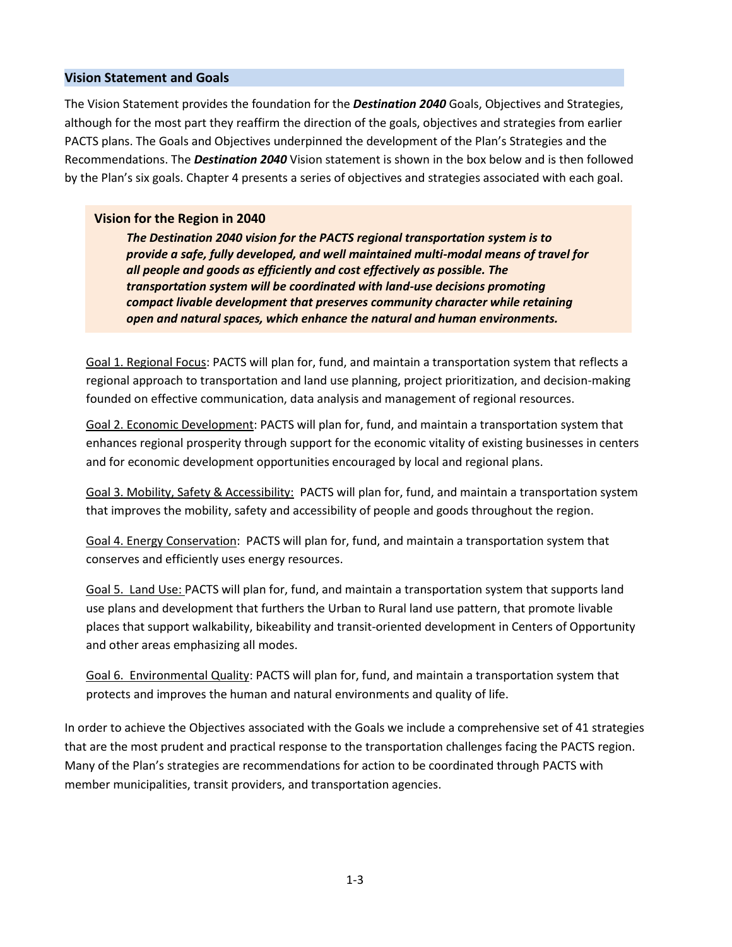### **Vision Statement and Goals**

The Vision Statement provides the foundation for the *Destination 2040* Goals, Objectives and Strategies, although for the most part they reaffirm the direction of the goals, objectives and strategies from earlier PACTS plans. The Goals and Objectives underpinned the development of the Plan's Strategies and the Recommendations. The *Destination 2040* Vision statement is shown in the box below and is then followed by the Plan's six goals. Chapter 4 presents a series of objectives and strategies associated with each goal.

### **Vision for the Region in 2040**

*The Destination 2040 vision for the PACTS regional transportation system is to provide a safe, fully developed, and well maintained multi-modal means of travel for all people and goods as efficiently and cost effectively as possible. The transportation system will be coordinated with land-use decisions promoting compact livable development that preserves community character while retaining open and natural spaces, which enhance the natural and human environments.* 

Goal 1. Regional Focus: PACTS will plan for, fund, and maintain a transportation system that reflects a regional approach to transportation and land use planning, project prioritization, and decision-making founded on effective communication, data analysis and management of regional resources.

Goal 2. Economic Development: PACTS will plan for, fund, and maintain a transportation system that enhances regional prosperity through support for the economic vitality of existing businesses in centers and for economic development opportunities encouraged by local and regional plans.

Goal 3. Mobility, Safety & Accessibility: PACTS will plan for, fund, and maintain a transportation system that improves the mobility, safety and accessibility of people and goods throughout the region.

Goal 4. Energy Conservation: PACTS will plan for, fund, and maintain a transportation system that conserves and efficiently uses energy resources.

Goal 5. Land Use: PACTS will plan for, fund, and maintain a transportation system that supports land use plans and development that furthers the Urban to Rural land use pattern, that promote livable places that support walkability, bikeability and transit-oriented development in Centers of Opportunity and other areas emphasizing all modes.

Goal 6. Environmental Quality: PACTS will plan for, fund, and maintain a transportation system that protects and improves the human and natural environments and quality of life.

In order to achieve the Objectives associated with the Goals we include a comprehensive set of 41 strategies that are the most prudent and practical response to the transportation challenges facing the PACTS region. Many of the Plan's strategies are recommendations for action to be coordinated through PACTS with member municipalities, transit providers, and transportation agencies.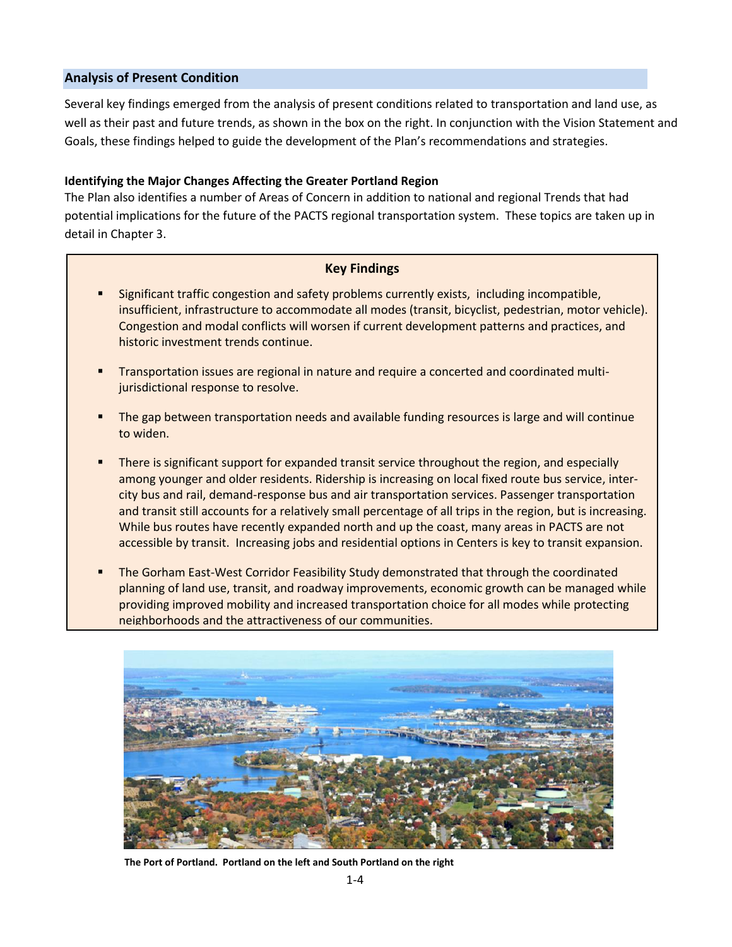### **Analysis of Present Condition**

Several key findings emerged from the analysis of present conditions related to transportation and land use, as well as their past and future trends, as shown in the box on the right. In conjunction with the Vision Statement and Goals, these findings helped to guide the development of the Plan's recommendations and strategies.

### **Identifying the Major Changes Affecting the Greater Portland Region**

The Plan also identifies a number of Areas of Concern in addition to national and regional Trends that had potential implications for the future of the PACTS regional transportation system. These topics are taken up in detail in Chapter 3.

### **Key Findings**

- Significant traffic congestion and safety problems currently exists, including incompatible, insufficient, infrastructure to accommodate all modes (transit, bicyclist, pedestrian, motor vehicle). Congestion and modal conflicts will worsen if current development patterns and practices, and historic investment trends continue.
- Transportation issues are regional in nature and require a concerted and coordinated multijurisdictional response to resolve.
- The gap between transportation needs and available funding resources is large and will continue to widen.
- There is significant support for expanded transit service throughout the region, and especially among younger and older residents. Ridership is increasing on local fixed route bus service, intercity bus and rail, demand-response bus and air transportation services. Passenger transportation and transit still accounts for a relatively small percentage of all trips in the region, but is increasing. While bus routes have recently expanded north and up the coast, many areas in PACTS are not accessible by transit. Increasing jobs and residential options in Centers is key to transit expansion.
- The Gorham East-West Corridor Feasibility Study demonstrated that through the coordinated planning of land use, transit, and roadway improvements, economic growth can be managed while providing improved mobility and increased transportation choice for all modes while protecting neighborhoods and the attractiveness of our communities.



**The Port of Portland. Portland on the left and South Portland on the right**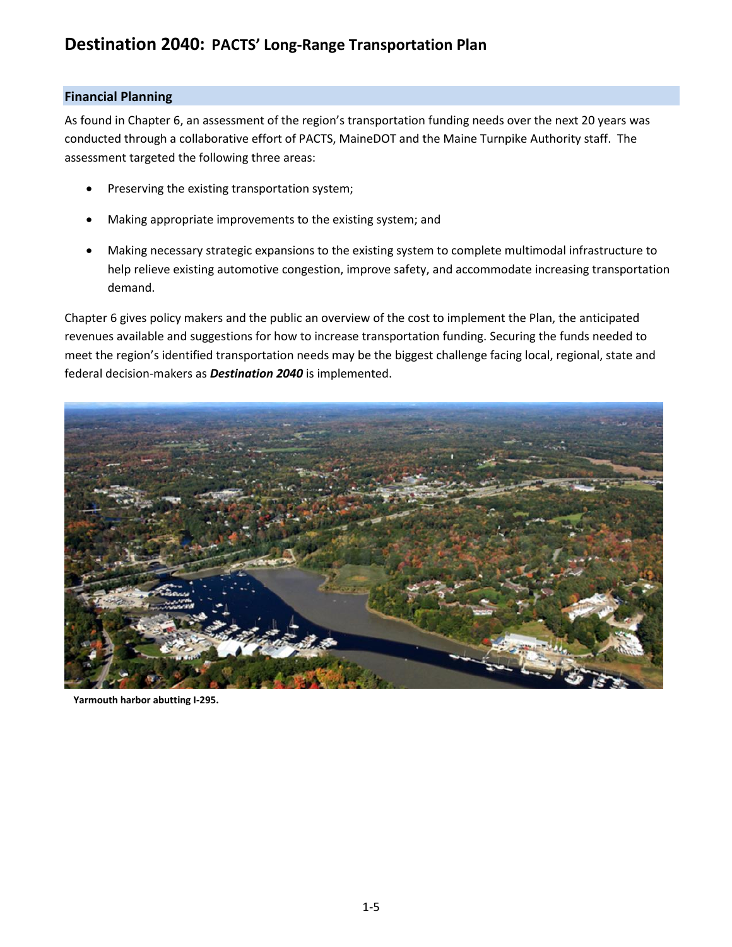# **Destination 2040: PACTS' Long-Range Transportation Plan**

### **Financial Planning**

As found in Chapter 6, an assessment of the region's transportation funding needs over the next 20 years was conducted through a collaborative effort of PACTS, MaineDOT and the Maine Turnpike Authority staff. The assessment targeted the following three areas:

- Preserving the existing transportation system;
- Making appropriate improvements to the existing system; and
- Making necessary strategic expansions to the existing system to complete multimodal infrastructure to help relieve existing automotive congestion, improve safety, and accommodate increasing transportation demand.

Chapter 6 gives policy makers and the public an overview of the cost to implement the Plan, the anticipated revenues available and suggestions for how to increase transportation funding. Securing the funds needed to meet the region's identified transportation needs may be the biggest challenge facing local, regional, state and federal decision-makers as *Destination 2040* is implemented.



**Yarmouth harbor abutting I-295.**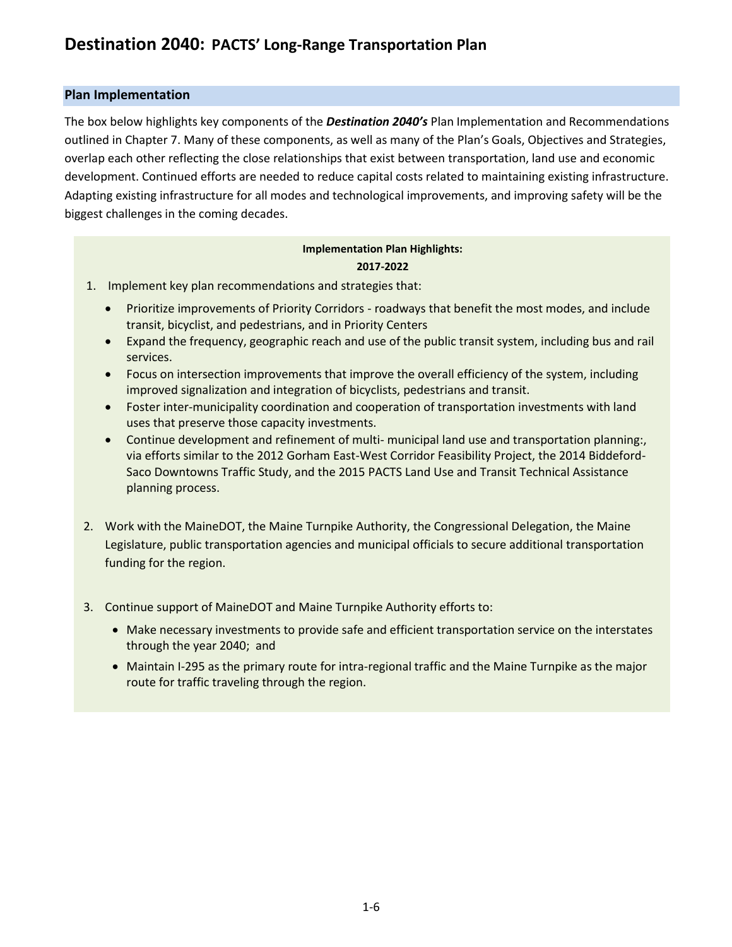### **Plan Implementation**

The box below highlights key components of the *Destination 2040's* Plan Implementation and Recommendations outlined in Chapter 7. Many of these components, as well as many of the Plan's Goals, Objectives and Strategies, overlap each other reflecting the close relationships that exist between transportation, land use and economic development. Continued efforts are needed to reduce capital costs related to maintaining existing infrastructure. Adapting existing infrastructure for all modes and technological improvements, and improving safety will be the biggest challenges in the coming decades.

### **Implementation Plan Highlights: 2017-2022**

- 1. Implement key plan recommendations and strategies that:
	- Prioritize improvements of Priority Corridors roadways that benefit the most modes, and include transit, bicyclist, and pedestrians, and in Priority Centers
	- Expand the frequency, geographic reach and use of the public transit system, including bus and rail services.
	- Focus on intersection improvements that improve the overall efficiency of the system, including improved signalization and integration of bicyclists, pedestrians and transit.
	- Foster inter-municipality coordination and cooperation of transportation investments with land uses that preserve those capacity investments.
	- Continue development and refinement of multi- municipal land use and transportation planning:, via efforts similar to the 2012 Gorham East-West Corridor Feasibility Project, the 2014 Biddeford-Saco Downtowns Traffic Study, and the 2015 PACTS Land Use and Transit Technical Assistance planning process.
- 2. Work with the MaineDOT, the Maine Turnpike Authority, the Congressional Delegation, the Maine Legislature, public transportation agencies and municipal officials to secure additional transportation funding for the region.
- 3. Continue support of MaineDOT and Maine Turnpike Authority efforts to:
	- Make necessary investments to provide safe and efficient transportation service on the interstates through the year 2040; and
	- Maintain I-295 as the primary route for intra-regional traffic and the Maine Turnpike as the major route for traffic traveling through the region.